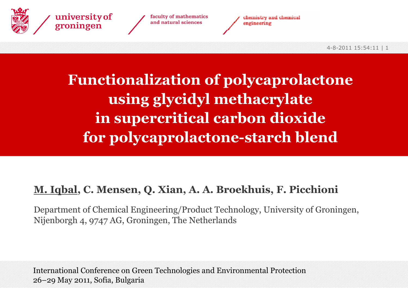

faculty of mathematics and natural sciences



### **Functionalization of polycaprolactone using glycidyl methacrylate in supercritical carbon dioxide for polycaprolactone-starch blend**

#### **M. Iqbal, C. Mensen, Q. Xian, A. A. Broekhuis, F. Picchioni**

Department of Chemical Engineering/Product Technology, University of Groningen, Nijenborgh 4, 9747 AG, Groningen, The Netherlands

International Conference on Green Technologies and Environmental Protection 26–29 May 2011, Sofia, Bulgaria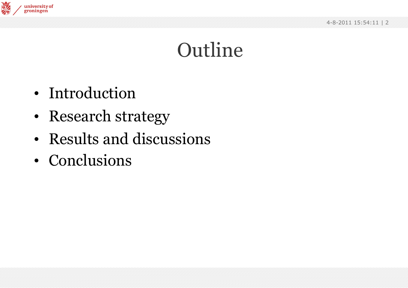

### Outline

- Introduction
- •Research strategy
- Results and discussions
- Conclusions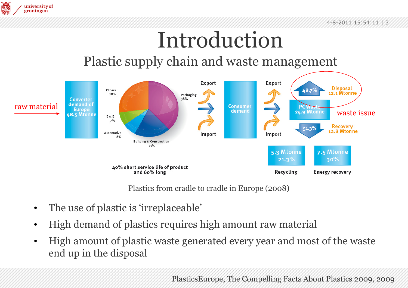

## Introduction

#### Plastic supply chain and waste management



Plastics from cradle to cradle in Europe (2008)

- •The use of plastic is 'irreplaceable'
- •High demand of plastics requires high amount raw material
- • High amount of plastic waste generated every year and most of the waste end up in the disposal

PlasticsEurope, The Compelling Facts About Plastics 2009, 2009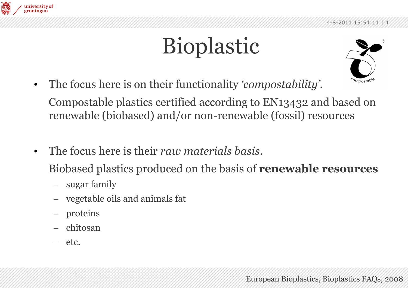



•The focus here is on their functionality *'compostability'.*

Compostable plastics certified according to EN13432 and based on renewable (biobased) and/or non-renewable (fossil) resources

•The focus here is their *raw materials basis*.

Biobased plastics produced on the basis of **renewable resources**

- sugar family
- –vegetable oils and animals fat
- $\mathcal{L}_{\mathcal{A}}$ proteins
- chitosan
- etc.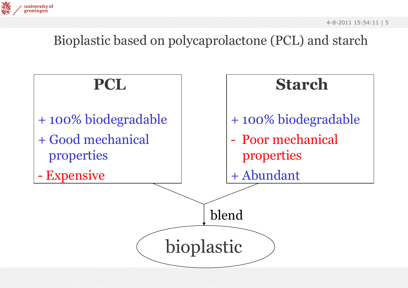

#### Bioplastic based on polycaprolactone (PCL) and starch

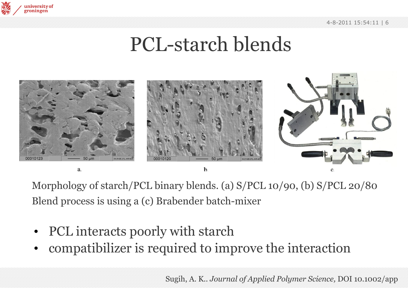

### PCL-starch blends



Morphology of starch/PCL binary blends. (a) S/PCL 10/90, (b) S/PCL 20/80 Blend process is using a (c) Brabender batch-mixer

- •PCL interacts poorly with starch
- •compatibilizer is required to improve the interaction

Sugih, A. K.. *Journal of Applied Polymer Science,* DOI 10.1002/app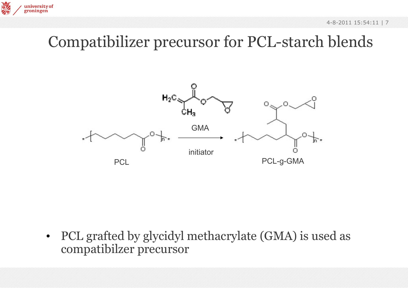

### Compatibilizer precursor for PCL-starch blends

鬱

university of groningen



• PCL grafted by glycidyl methacrylate (GMA) is used as compatibilzer precursor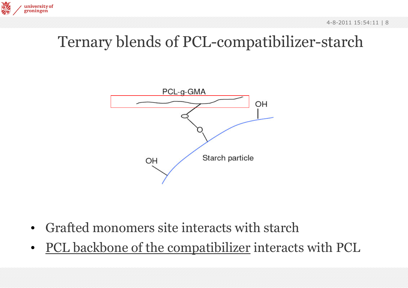### Ternary blends of PCL-compatibilizer-starch



- •Grafted monomers site interacts with starch
- •PCL backbone of the compatibilizer interacts with PCL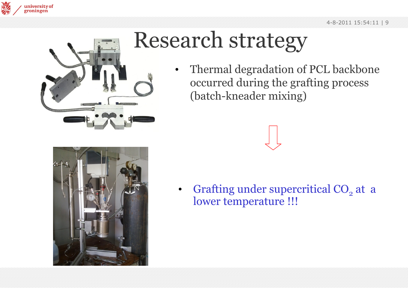



## Research strategy

• Thermal degradation of PCL backbone occurred during the grafting process (batch-kneader mixing)



•Grafting under supercritical  $CO<sub>2</sub>$  at a lower temperature !!!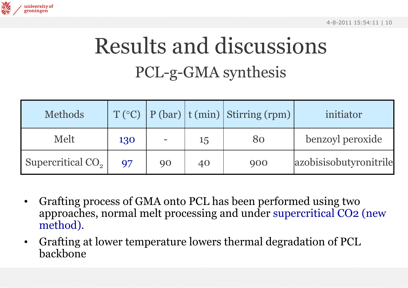

### Results and discussions PCL-g-GMA synthesis

| <b>Methods</b>                |                |    |    | $T({}^{\circ}C)$   P (bar)   t (min)   Stirring (rpm) | initiator              |
|-------------------------------|----------------|----|----|-------------------------------------------------------|------------------------|
| Melt                          | 130            |    | 15 | 80                                                    | benzoyl peroxide       |
| Supercritical CO <sub>2</sub> | Q <sub>7</sub> | 90 | 40 | 900                                                   | azobisisobutyronitrile |

- $\bullet$  Grafting process of GMA onto PCL has been performed using two approaches, normal melt processing and under supercritical CO2 (new method).
- $\bullet$  Grafting at lower temperature lowers thermal degradation of PCL backbone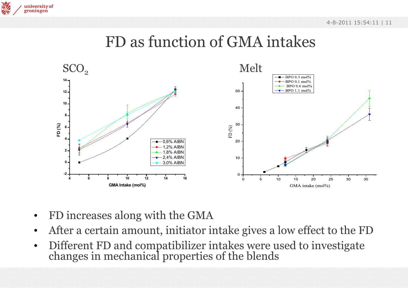#### FD as function of GMA intakes



•FD increases along with the GMA

高

university of groningen

- •After a certain amount, initiator intake gives a low effect to the FD
- •Different FD and compatibilizer intakes were used to investigate changes in mechanical properties of the blends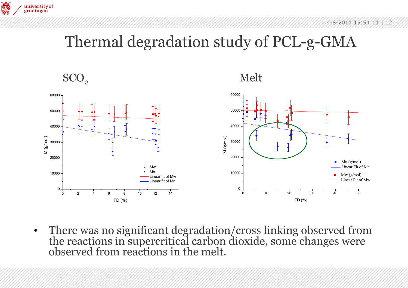

### Thermal degradation study of PCL-g-GMA

 $\mathrm{SCO}_2$ 

**ROM** 

university of groningen





•There was no significant degradation/cross linking observed from the reactions in supercritical carbon dioxide, some changes were observed from reactions in the melt.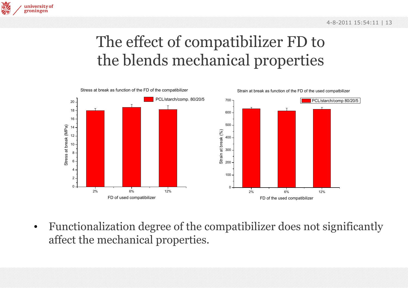

**Hey** 

university of groningen



• Functionalization degree of the compatibilizer does not significantly affect the mechanical properties.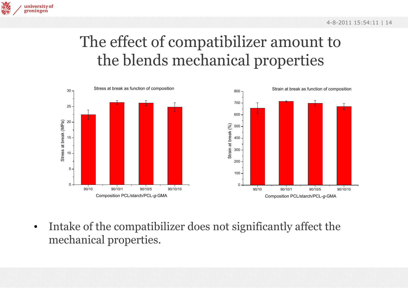

### The effect of compatibilizer amount to the blends mechanical properties



• Intake of the compatibilizer does not significantly affect the mechanical properties.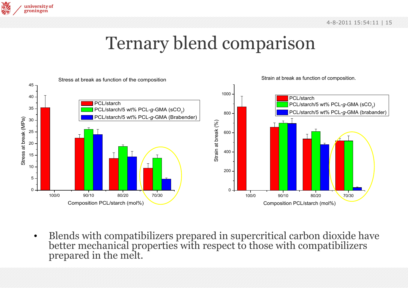

### Ternary blend comparison



•Blends with compatibilizers prepared in supercritical carbon dioxide have better mechanical properties with respect to those with compatibilizers prepared in the melt.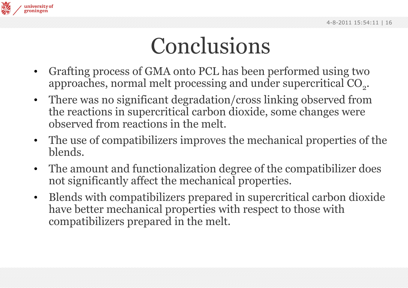

## Conclusions

- $\bullet$  Grafting process of GMA onto PCL has been performed using two approaches, normal melt processing and under supercritical  $CO<sub>2</sub>$ .
- $\bullet$  There was no significant degradation/cross linking observed from the reactions in supercritical carbon dioxide, some changes were observed from reactions in the melt.
- $\bullet$  The use of compatibilizers improves the mechanical properties of the blends.
- $\bullet$  The amount and functionalization degree of the compatibilizer does not significantly affect the mechanical properties.
- • Blends with compatibilizers prepared in supercritical carbon dioxide have better mechanical properties with respect to those with compatibilizers prepared in the melt.